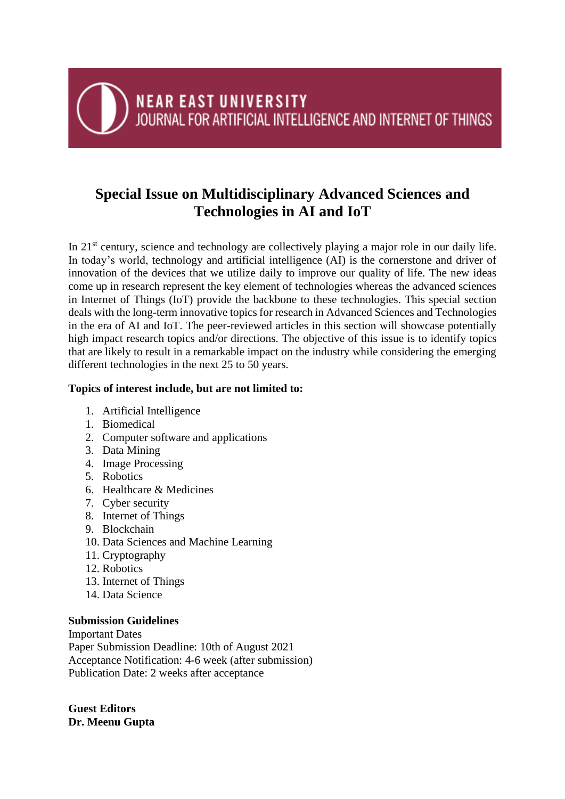# **NEAR EAST UNIVERSITY** JOURNAL FOR ARTIFICIAL INTELLIGENCE AND INTERNET OF THINGS

## **Special Issue on Multidisciplinary Advanced Sciences and Technologies in AI and IoT**

In 21<sup>st</sup> century, science and technology are collectively playing a major role in our daily life. In today's world, technology and artificial intelligence (AI) is the cornerstone and driver of innovation of the devices that we utilize daily to improve our quality of life. The new ideas come up in research represent the key element of technologies whereas the advanced sciences in Internet of Things (IoT) provide the backbone to these technologies. This special section deals with the long-term innovative topics for research in Advanced Sciences and Technologies in the era of AI and IoT. The peer-reviewed articles in this section will showcase potentially high impact research topics and/or directions. The objective of this issue is to identify topics that are likely to result in a remarkable impact on the industry while considering the emerging different technologies in the next 25 to 50 years.

### **Topics of interest include, but are not limited to:**

- 1. Artificial Intelligence
- 1. Biomedical
- 2. Computer software and applications
- 3. Data Mining
- 4. Image Processing
- 5. Robotics
- 6. Healthcare & Medicines
- 7. Cyber security
- 8. Internet of Things
- 9. Blockchain
- 10. Data Sciences and Machine Learning
- 11. Cryptography
- 12. Robotics
- 13. Internet of Things
- 14. Data Science

#### **Submission Guidelines**

Important Dates Paper Submission Deadline: 10th of August 2021 Acceptance Notification: 4-6 week (after submission) Publication Date: 2 weeks after acceptance

**Guest Editors Dr. Meenu Gupta**